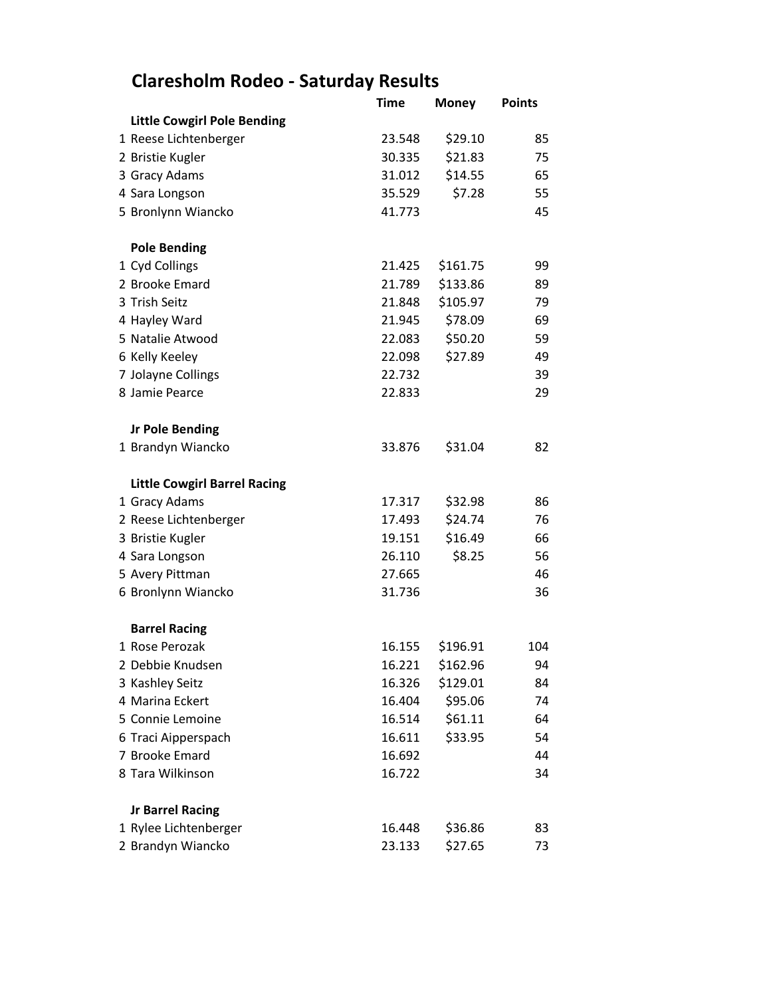## **Claresholm Rodeo - Saturday Results**

|                                     | <b>Time</b> | <b>Money</b> | <b>Points</b> |
|-------------------------------------|-------------|--------------|---------------|
| <b>Little Cowgirl Pole Bending</b>  |             |              |               |
| 1 Reese Lichtenberger               | 23.548      | \$29.10      | 85            |
| 2 Bristie Kugler                    | 30.335      | \$21.83      | 75            |
| 3 Gracy Adams                       | 31.012      | \$14.55      | 65            |
| 4 Sara Longson                      | 35.529      | \$7.28       | 55            |
| 5 Bronlynn Wiancko                  | 41.773      |              | 45            |
| <b>Pole Bending</b>                 |             |              |               |
| 1 Cyd Collings                      | 21.425      | \$161.75     | 99            |
| 2 Brooke Emard                      | 21.789      | \$133.86     | 89            |
| 3 Trish Seitz                       | 21.848      | \$105.97     | 79            |
| 4 Hayley Ward                       | 21.945      | \$78.09      | 69            |
| 5 Natalie Atwood                    | 22.083      | \$50.20      | 59            |
| 6 Kelly Keeley                      | 22.098      | \$27.89      | 49            |
| 7 Jolayne Collings                  | 22.732      |              | 39            |
| 8 Jamie Pearce                      | 22.833      |              | 29            |
| <b>Jr Pole Bending</b>              |             |              |               |
| 1 Brandyn Wiancko                   | 33.876      | \$31.04      | 82            |
| <b>Little Cowgirl Barrel Racing</b> |             |              |               |
| 1 Gracy Adams                       | 17.317      | \$32.98      | 86            |
| 2 Reese Lichtenberger               | 17.493      | \$24.74      | 76            |
| 3 Bristie Kugler                    | 19.151      | \$16.49      | 66            |
| 4 Sara Longson                      | 26.110      | \$8.25       | 56            |
| 5 Avery Pittman                     | 27.665      |              | 46            |
| 6 Bronlynn Wiancko                  | 31.736      |              | 36            |
| <b>Barrel Racing</b>                |             |              |               |
| 1 Rose Perozak                      | 16.155      | \$196.91     | 104           |
| 2 Debbie Knudsen                    | 16.221      | \$162.96     | 94            |
| 3 Kashley Seitz                     | 16.326      | \$129.01     | 84            |
| 4 Marina Eckert                     | 16.404      | \$95.06      | 74            |
| 5 Connie Lemoine                    | 16.514      | \$61.11      | 64            |
| 6 Traci Aipperspach                 | 16.611      | \$33.95      | 54            |
| 7 Brooke Emard                      | 16.692      |              | 44            |
| 8 Tara Wilkinson                    | 16.722      |              | 34            |
| <b>Jr Barrel Racing</b>             |             |              |               |
| 1 Rylee Lichtenberger               | 16.448      | \$36.86      | 83            |
| 2 Brandyn Wiancko                   | 23.133      | \$27.65      | 73            |